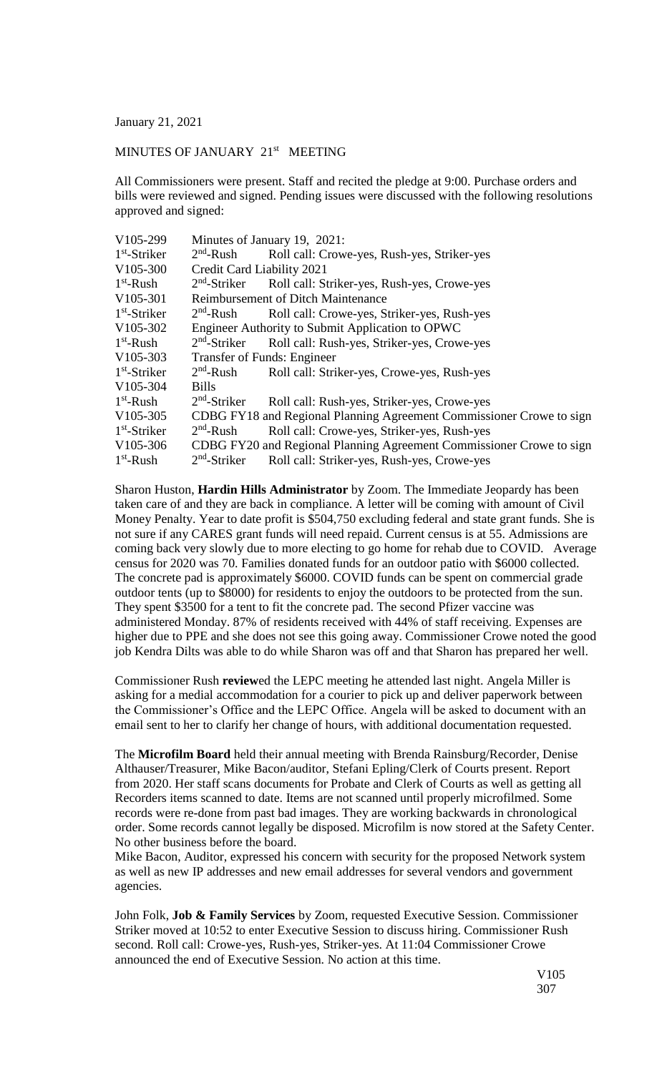January 21, 2021

## MINUTES OF JANUARY 21<sup>st</sup> MEETING

All Commissioners were present. Staff and recited the pledge at 9:00. Purchase orders and bills were reviewed and signed. Pending issues were discussed with the following resolutions approved and signed:

| V105-299       | Minutes of January 19, 2021:                                         |                                             |  |
|----------------|----------------------------------------------------------------------|---------------------------------------------|--|
| $1st$ -Striker | $2nd$ -Rush                                                          | Roll call: Crowe-yes, Rush-yes, Striker-yes |  |
| V105-300       | Credit Card Liability 2021                                           |                                             |  |
| $1st$ -Rush    | $2nd$ -Striker                                                       | Roll call: Striker-yes, Rush-yes, Crowe-yes |  |
| V105-301       |                                                                      | <b>Reimbursement of Ditch Maintenance</b>   |  |
| $1st$ -Striker | $2nd$ -Rush                                                          | Roll call: Crowe-yes, Striker-yes, Rush-yes |  |
| V105-302       | Engineer Authority to Submit Application to OPWC                     |                                             |  |
| $1st$ -Rush    | $2nd$ -Striker                                                       | Roll call: Rush-yes, Striker-yes, Crowe-yes |  |
| V105-303       | Transfer of Funds: Engineer                                          |                                             |  |
| $1st$ -Striker | $2nd$ -Rush                                                          | Roll call: Striker-yes, Crowe-yes, Rush-yes |  |
| V105-304       | <b>Bills</b>                                                         |                                             |  |
| $1st$ -Rush    | $2nd$ -Striker                                                       | Roll call: Rush-yes, Striker-yes, Crowe-yes |  |
| V105-305       | CDBG FY18 and Regional Planning Agreement Commissioner Crowe to sign |                                             |  |
| $1st$ -Striker | $2nd$ -Rush                                                          | Roll call: Crowe-yes, Striker-yes, Rush-yes |  |
| V105-306       | CDBG FY20 and Regional Planning Agreement Commissioner Crowe to sign |                                             |  |
| $1st$ -Rush    | $2nd$ -Striker                                                       | Roll call: Striker-yes, Rush-yes, Crowe-yes |  |

Sharon Huston, **Hardin Hills Administrator** by Zoom. The Immediate Jeopardy has been taken care of and they are back in compliance. A letter will be coming with amount of Civil Money Penalty. Year to date profit is \$504,750 excluding federal and state grant funds. She is not sure if any CARES grant funds will need repaid. Current census is at 55. Admissions are coming back very slowly due to more electing to go home for rehab due to COVID. Average census for 2020 was 70. Families donated funds for an outdoor patio with \$6000 collected. The concrete pad is approximately \$6000. COVID funds can be spent on commercial grade outdoor tents (up to \$8000) for residents to enjoy the outdoors to be protected from the sun. They spent \$3500 for a tent to fit the concrete pad. The second Pfizer vaccine was administered Monday. 87% of residents received with 44% of staff receiving. Expenses are higher due to PPE and she does not see this going away. Commissioner Crowe noted the good job Kendra Dilts was able to do while Sharon was off and that Sharon has prepared her well.

Commissioner Rush **review**ed the LEPC meeting he attended last night. Angela Miller is asking for a medial accommodation for a courier to pick up and deliver paperwork between the Commissioner's Office and the LEPC Office. Angela will be asked to document with an email sent to her to clarify her change of hours, with additional documentation requested.

The **Microfilm Board** held their annual meeting with Brenda Rainsburg/Recorder, Denise Althauser/Treasurer, Mike Bacon/auditor, Stefani Epling/Clerk of Courts present. Report from 2020. Her staff scans documents for Probate and Clerk of Courts as well as getting all Recorders items scanned to date. Items are not scanned until properly microfilmed. Some records were re-done from past bad images. They are working backwards in chronological order. Some records cannot legally be disposed. Microfilm is now stored at the Safety Center. No other business before the board.

Mike Bacon, Auditor, expressed his concern with security for the proposed Network system as well as new IP addresses and new email addresses for several vendors and government agencies.

John Folk, **Job & Family Services** by Zoom, requested Executive Session. Commissioner Striker moved at 10:52 to enter Executive Session to discuss hiring. Commissioner Rush second. Roll call: Crowe-yes, Rush-yes, Striker-yes. At 11:04 Commissioner Crowe announced the end of Executive Session. No action at this time.